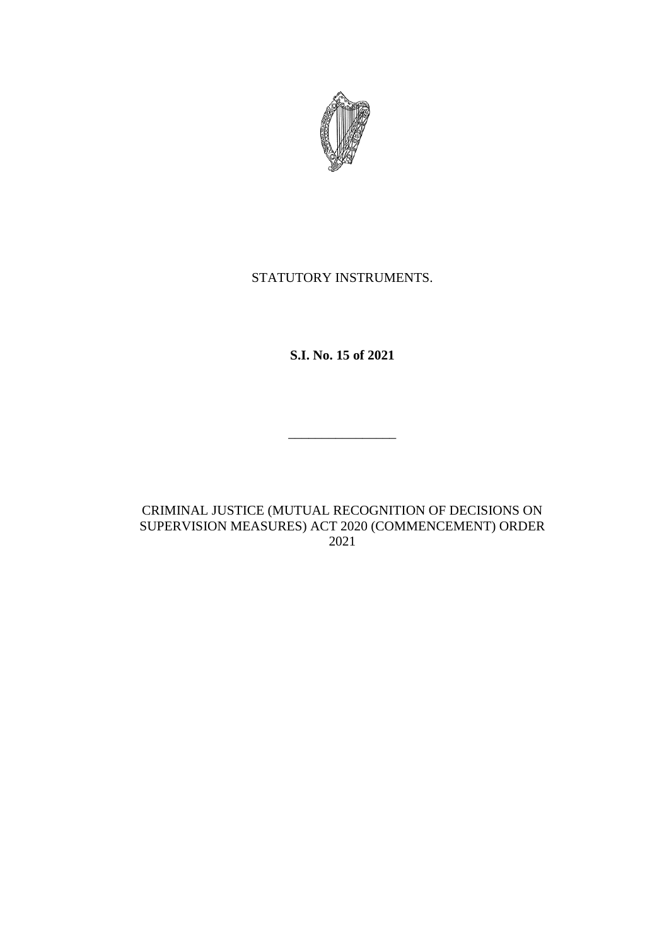

## STATUTORY INSTRUMENTS.

**S.I. No. 15 of 2021**

\_\_\_\_\_\_\_\_\_\_\_\_\_\_\_\_

CRIMINAL JUSTICE (MUTUAL RECOGNITION OF DECISIONS ON SUPERVISION MEASURES) ACT 2020 (COMMENCEMENT) ORDER 2021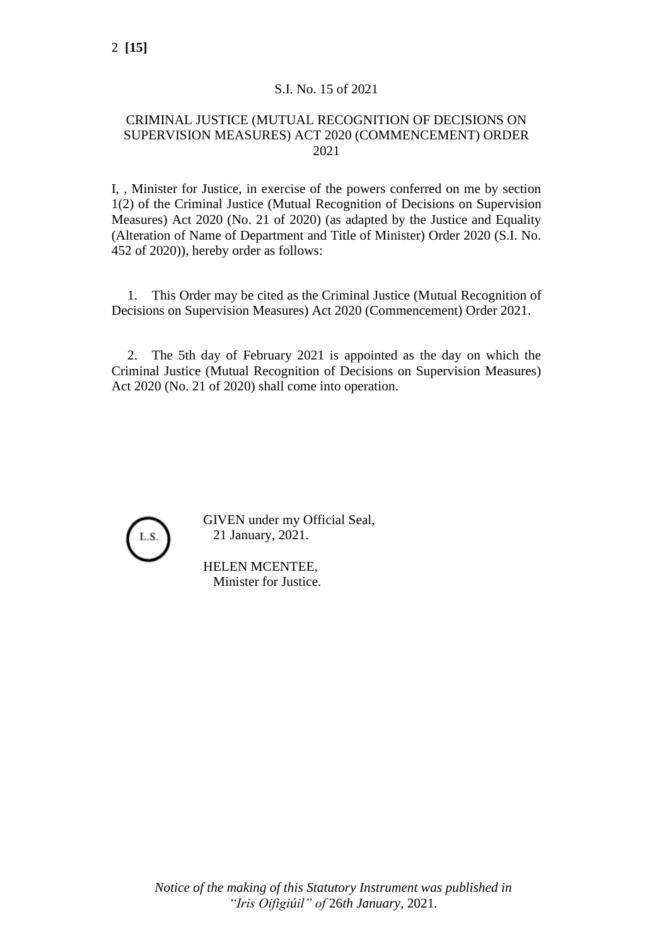## S.I. No. 15 of 2021

## CRIMINAL JUSTICE (MUTUAL RECOGNITION OF DECISIONS ON SUPERVISION MEASURES) ACT 2020 (COMMENCEMENT) ORDER 2021

I, , Minister for Justice, in exercise of the powers conferred on me by section 1(2) of the Criminal Justice (Mutual Recognition of Decisions on Supervision Measures) Act 2020 (No. 21 of 2020) (as adapted by the Justice and Equality (Alteration of Name of Department and Title of Minister) Order 2020 (S.I. No. 452 of 2020)), hereby order as follows:

1. This Order may be cited as the Criminal Justice (Mutual Recognition of Decisions on Supervision Measures) Act 2020 (Commencement) Order 2021.

2. The 5th day of February 2021 is appointed as the day on which the Criminal Justice (Mutual Recognition of Decisions on Supervision Measures) Act 2020 (No. 21 of 2020) shall come into operation.



GIVEN under my Official Seal, 21 January, 2021.

HELEN MCENTEE, Minister for Justice.